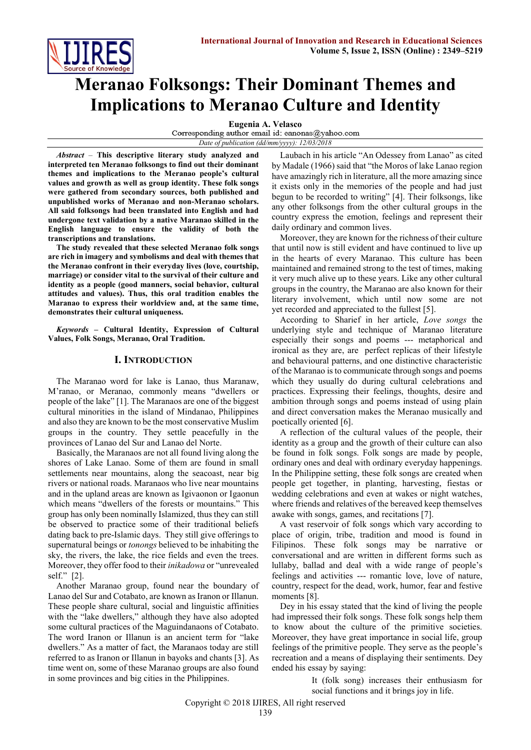

# **Meranao Folksongs: Their Dominant Themes and Implications to Meranao Culture and Identity**

**Eugenia A. Velasco**<br>Corresponding author email id: eanonas@yahoo.com

*Date of publication (dd/mm/yyyy): 12/03/2018*

*Abstract* – **This descriptive literary study analyzed and interpreted ten Meranao folksongs to find out their dominant themes and implications to the Meranao people's cultural values and growth as well as group identity. These folk songs were gathered from secondary sources, both published and unpublished works of Meranao and non-Meranao scholars. All said folksongs had been translated into English and had undergone text validation by a native Maranao skilled in the English language to ensure the validity of both the transcriptions and translations.**

**The study revealed that these selected Meranao folk songs are rich in imagery and symbolisms and deal with themes that the Meranao confront in their everyday lives (love, courtship, marriage) or consider vital to the survival of their culture and identity as a people (good manners, social behavior, cultural attitudes and values). Thus, this oral tradition enables the Maranao to express their worldview and, at the same time, demonstrates their cultural uniqueness.**

*Keywords –* **Cultural Identity, Expression of Cultural Values, Folk Songs, Meranao, Oral Tradition.**

## **I. INTRODUCTION**

The Maranao word for lake is Lanao, thus Maranaw, M'ranao, or Meranao, commonly means "dwellers or people of the lake" [1]. The Maranaos are one of the biggest cultural minorities in the island of Mindanao, Philippines and also they are known to be the most conservative Muslim groups in the country. They settle peacefully in the provinces of Lanao del Sur and Lanao del Norte.

Basically, the Maranaos are not all found living along the shores of Lake Lanao. Some of them are found in small settlements near mountains, along the seacoast, near big rivers or national roads. Maranaos who live near mountains and in the upland areas are known as Igivaonon or Igaonun which means "dwellers of the forests or mountains." This group has only been nominally Islamized, thus they can still be observed to practice some of their traditional beliefs dating back to pre-Islamic days. They still give offerings to supernatural beings or *tonongs* believed to be inhabiting the sky, the rivers, the lake, the rice fields and even the trees. Moreover, they offer food to their *inikadowa* or "unrevealed self." [2].

Another Maranao group, found near the boundary of Lanao del Sur and Cotabato, are known as Iranon or Illanun. These people share cultural, social and linguistic affinities with the "lake dwellers," although they have also adopted some cultural practices of the Maguindanaons of Cotabato. The word Iranon or Illanun is an ancient term for "lake dwellers." As a matter of fact, the Maranaos today are still referred to as Iranon or Illanun in bayoks and chants [3]. As time went on, some of these Maranao groups are also found in some provinces and big cities in the Philippines.

Laubach in his article "An Odessey from Lanao" as cited by Madale (1966) said that "the Moros of lake Lanao region have amazingly rich in literature, all the more amazing since it exists only in the memories of the people and had just begun to be recorded to writing" [4]. Their folksongs, like any other folksongs from the other cultural groups in the country express the emotion, feelings and represent their daily ordinary and common lives.

Moreover, they are known for the richness of their culture that until now is still evident and have continued to live up in the hearts of every Maranao. This culture has been maintained and remained strong to the test of times, making it very much alive up to these years. Like any other cultural groups in the country, the Maranao are also known for their literary involvement, which until now some are not yet recorded and appreciated to the fullest [5].

According to Sharief in her article, *Love songs* the underlying style and technique of Maranao literature especially their songs and poems --- metaphorical and ironical as they are, are perfect replicas of their lifestyle and behavioural patterns, and one distinctive characteristic of the Maranao is to communicate through songs and poems which they usually do during cultural celebrations and practices. Expressing their feelings, thoughts, desire and ambition through songs and poems instead of using plain and direct conversation makes the Meranao musically and poetically oriented [6].

A reflection of the cultural values of the people, their identity as a group and the growth of their culture can also be found in folk songs. Folk songs are made by people, ordinary ones and deal with ordinary everyday happenings. In the Philippine setting, these folk songs are created when people get together, in planting, harvesting, fiestas or wedding celebrations and even at wakes or night watches, where friends and relatives of the bereaved keep themselves awake with songs, games, and recitations [7].

A vast reservoir of folk songs which vary according to place of origin, tribe, tradition and mood is found in Filipinos. These folk songs may be narrative or conversational and are written in different forms such as lullaby, ballad and deal with a wide range of people's feelings and activities --- romantic love, love of nature, country, respect for the dead, work, humor, fear and festive moments [8].

Dey in his essay stated that the kind of living the people had impressed their folk songs. These folk songs help them to know about the culture of the primitive societies. Moreover, they have great importance in social life, group feelings of the primitive people. They serve as the people's recreation and a means of displaying their sentiments. Dey ended his essay by saying:

> It (folk song) increases their enthusiasm for social functions and it brings joy in life.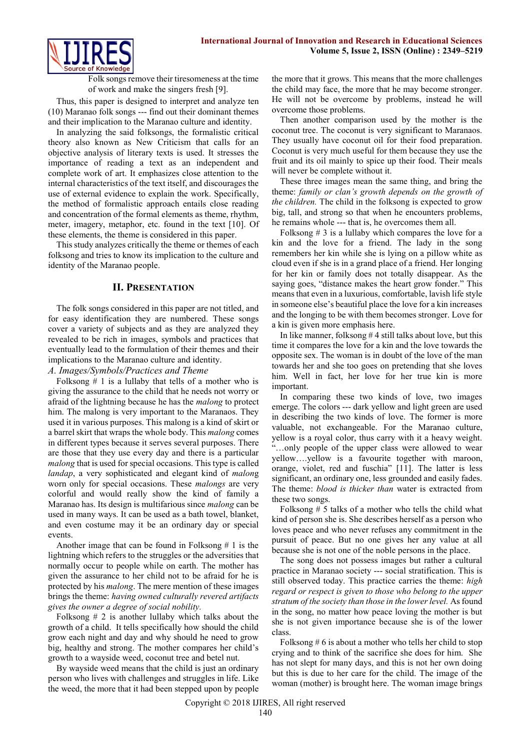

Folk songs remove their tiresomeness at the time of work and make the singers fresh [9].

Thus, this paper is designed to interpret and analyze ten (10) Maranao folk songs --- find out their dominant themes and their implication to the Maranao culture and identity.

In analyzing the said folksongs, the formalistic critical theory also known as New Criticism that calls for an objective analysis of literary texts is used. It stresses the importance of reading a text as an independent and complete work of art. It emphasizes close attention to the internal characteristics of the text itself, and discourages the use of external evidence to explain the work. Specifically, the method of formalistic approach entails close reading and concentration of the formal elements as theme, rhythm, meter, imagery, metaphor, etc. found in the text [10]. Of these elements, the theme is considered in this paper.

This study analyzes critically the theme or themes of each folksong and tries to know its implication to the culture and identity of the Maranao people.

## **II. PRESENTATION**

The folk songs considered in this paper are not titled, and for easy identification they are numbered. These songs cover a variety of subjects and as they are analyzed they revealed to be rich in images, symbols and practices that eventually lead to the formulation of their themes and their implications to the Maranao culture and identity.

# *A. Images/Symbols/Practices and Theme*

Folksong  $# 1$  is a lullaby that tells of a mother who is giving the assurance to the child that he needs not worry or afraid of the lightning because he has the *malong* to protect him. The malong is very important to the Maranaos. They used it in various purposes. This malong is a kind of skirt or a barrel skirt that wraps the whole body. This *malong* comes in different types because it serves several purposes. There are those that they use every day and there is a particular *malong* that is used for special occasions. This type is called *landap*, a very sophisticated and elegant kind of *malon*g worn only for special occasions. These *malongs* are very colorful and would really show the kind of family a Maranao has. Its design is multifarious since *malong* can be used in many ways. It can be used as a bath towel, blanket, and even costume may it be an ordinary day or special events.

Another image that can be found in Folksong # 1 is the lightning which refers to the struggles or the adversities that normally occur to people while on earth. The mother has given the assurance to her child not to be afraid for he is protected by his *malong*. The mere mention of these images brings the theme: *having owned culturally revered artifacts gives the owner a degree of social nobility.*

Folksong  $# 2$  is another lullaby which talks about the growth of a child. It tells specifically how should the child grow each night and day and why should he need to grow big, healthy and strong. The mother compares her child's growth to a wayside weed, coconut tree and betel nut.

By wayside weed means that the child is just an ordinary person who lives with challenges and struggles in life. Like the weed, the more that it had been stepped upon by people the more that it grows. This means that the more challenges the child may face, the more that he may become stronger. He will not be overcome by problems, instead he will overcome those problems.

Then another comparison used by the mother is the coconut tree. The coconut is very significant to Maranaos. They usually have coconut oil for their food preparation. Coconut is very much useful for them because they use the fruit and its oil mainly to spice up their food. Their meals will never be complete without it.

These three images mean the same thing, and bring the theme: *family or clan's growth depends on the growth of the children.* The child in the folksong is expected to grow big, tall, and strong so that when he encounters problems, he remains whole --- that is, he overcomes them all.

Folksong  $\# 3$  is a lullaby which compares the love for a kin and the love for a friend. The lady in the song remembers her kin while she is lying on a pillow white as cloud even if she is in a grand place of a friend. Her longing for her kin or family does not totally disappear. As the saying goes, "distance makes the heart grow fonder." This means that even in a luxurious, comfortable, lavish life style in someone else's beautiful place the love for a kin increases and the longing to be with them becomes stronger. Love for a kin is given more emphasis here.

In like manner, folksong # 4 still talks about love, but this time it compares the love for a kin and the love towards the opposite sex. The woman is in doubt of the love of the man towards her and she too goes on pretending that she loves him. Well in fact, her love for her true kin is more important.

In comparing these two kinds of love, two images emerge. The colors --- dark yellow and light green are used in describing the two kinds of love. The former is more valuable, not exchangeable. For the Maranao culture, yellow is a royal color, thus carry with it a heavy weight. ...only people of the upper class were allowed to wear yellow….yellow is a favourite together with maroon, orange, violet, red and fuschia" [11]. The latter is less significant, an ordinary one, less grounded and easily fades. The theme: *blood is thicker than* water is extracted from these two songs.

Folksong # 5 talks of a mother who tells the child what kind of person she is. She describes herself as a person who loves peace and who never refuses any commitment in the pursuit of peace. But no one gives her any value at all because she is not one of the noble persons in the place.

The song does not possess images but rather a cultural practice in Maranao society --- social stratification. This is still observed today. This practice carries the theme: *high regard or respect is given to those who belong to the upper stratum of the society than those in the lower level.* As found in the song, no matter how peace loving the mother is but she is not given importance because she is of the lower class.

Folksong # 6 is about a mother who tells her child to stop crying and to think of the sacrifice she does for him. She has not slept for many days, and this is not her own doing but this is due to her care for the child. The image of the woman (mother) is brought here. The woman image brings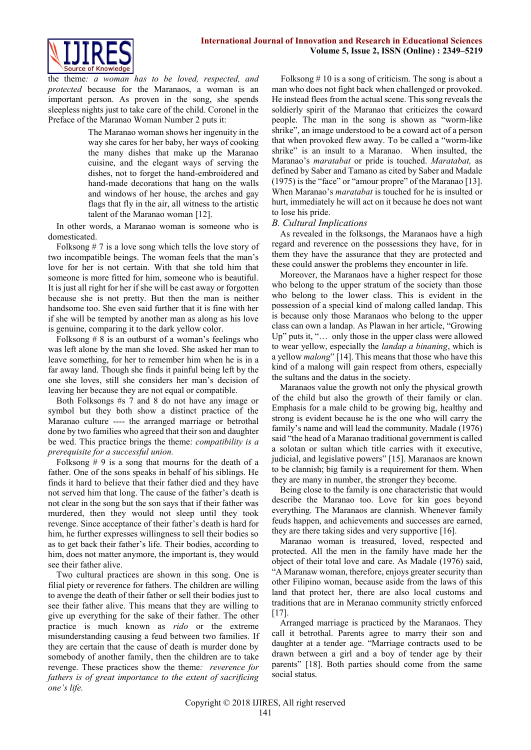

the theme*: a woman has to be loved, respected, and protected* because for the Maranaos, a woman is an important person. As proven in the song, she spends sleepless nights just to take care of the child. Coronel in the Preface of the Maranao Woman Number 2 puts it:

> The Maranao woman shows her ingenuity in the way she cares for her baby, her ways of cooking the many dishes that make up the Maranao cuisine, and the elegant ways of serving the dishes, not to forget the hand-embroidered and hand-made decorations that hang on the walls and windows of her house, the arches and gay flags that fly in the air, all witness to the artistic talent of the Maranao woman [12].

In other words, a Maranao woman is someone who is domesticated.

Folksong # 7 is a love song which tells the love story of two incompatible beings. The woman feels that the man's love for her is not certain. With that she told him that someone is more fitted for him, someone who is beautiful. It is just all right for her if she will be cast away or forgotten because she is not pretty. But then the man is neither handsome too. She even said further that it is fine with her if she will be tempted by another man as along as his love is genuine, comparing it to the dark yellow color.

Folksong  $# 8$  is an outburst of a woman's feelings who was left alone by the man she loved. She asked her man to leave something, for her to remember him when he is in a far away land. Though she finds it painful being left by the one she loves, still she considers her man's decision of leaving her because they are not equal or compatible.

Both Folksongs #s 7 and 8 do not have any image or symbol but they both show a distinct practice of the Maranao culture ---- the arranged marriage or betrothal done by two families who agreed that their son and daughter be wed. This practice brings the theme: *compatibility is a prerequisite for a successful union.*

Folksong  $# 9$  is a song that mourns for the death of a father. One of the sons speaks in behalf of his siblings. He finds it hard to believe that their father died and they have not served him that long. The cause of the father's death is not clear in the song but the son says that if their father was murdered, then they would not sleep until they took revenge. Since acceptance of their father's death is hard for him, he further expresses willingness to sell their bodies so as to get back their father's life. Their bodies, according to him, does not matter anymore, the important is, they would see their father alive.

Two cultural practices are shown in this song. One is filial piety or reverence for fathers. The children are willing to avenge the death of their father or sell their bodies just to see their father alive. This means that they are willing to give up everything for the sake of their father. The other practice is much known as *rido* or the extreme misunderstanding causing a feud between two families. If they are certain that the cause of death is murder done by somebody of another family, then the children are to take revenge. These practices show the theme*: reverence for fathers is of great importance to the extent of sacrificing one's life.*

 Folksong # 10 is a song of criticism. The song is about a man who does not fight back when challenged or provoked. He instead flees from the actual scene. This song reveals the soldierly spirit of the Maranao that criticizes the coward people. The man in the song is shown as "worm-like shrike", an image understood to be a coward act of a person that when provoked flew away. To be called a "worm-like shrike" is an insult to a Maranao. When insulted, the Maranao's *maratabat* or pride is touched. *Maratabat,* as defined by Saber and Tamano as cited by Saber and Madale (1975) is the "face" or "amour propre" of the Maranao [13]. When Maranao's *maratabat* is touched for he is insulted or hurt, immediately he will act on it because he does not want to lose his pride.

## *B. Cultural Implications*

As revealed in the folksongs, the Maranaos have a high regard and reverence on the possessions they have, for in them they have the assurance that they are protected and these could answer the problems they encounter in life.

Moreover, the Maranaos have a higher respect for those who belong to the upper stratum of the society than those who belong to the lower class. This is evident in the possession of a special kind of malong called landap. This is because only those Maranaos who belong to the upper class can own a landap. As Plawan in her article, "Growing Up" puts it, "… only those in the upper class were allowed to wear yellow, especially the *landap a binaning*, which is a yellow *malong*" [14]. This means that those who have this kind of a malong will gain respect from others, especially the sultans and the datus in the society.

Maranaos value the growth not only the physical growth of the child but also the growth of their family or clan. Emphasis for a male child to be growing big, healthy and strong is evident because he is the one who will carry the family's name and will lead the community. Madale (1976) said "the head of a Maranao traditional government is called a solotan or sultan which title carries with it executive, judicial, and legislative powers" [15]. Maranaos are known to be clannish; big family is a requirement for them. When they are many in number, the stronger they become.

Being close to the family is one characteristic that would describe the Maranao too. Love for kin goes beyond everything. The Maranaos are clannish. Whenever family feuds happen, and achievements and successes are earned, they are there taking sides and very supportive [16].

Maranao woman is treasured, loved, respected and protected. All the men in the family have made her the object of their total love and care. As Madale (1976) said, "A Maranaw woman, therefore, enjoys greater security than other Filipino woman, because aside from the laws of this land that protect her, there are also local customs and traditions that are in Meranao community strictly enforced  $[17]$ .

Arranged marriage is practiced by the Maranaos. They call it betrothal. Parents agree to marry their son and daughter at a tender age. "Marriage contracts used to be drawn between a girl and a boy of tender age by their parents" [18]. Both parties should come from the same social status.